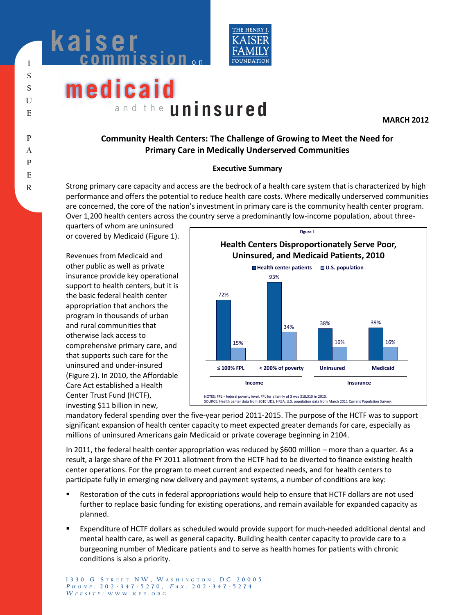



# **medicaid** and the **uninsured**

**MARCH 2012** 

# **Community Health Centers: The Challenge of Growing to Meet the Need for Primary Care in Medically Underserved Communities**

## **Executive Summary**

Strong primary care capacity and access are the bedrock of a health care system that is characterized by high performance and offers the potential to reduce health care costs. Where medically underserved communities are concerned, the core of the nation's investment in primary care is the community health center program. Over 1,200 health centers across the country serve a predominantly low-income population, about three-

quarters of whom are uninsured or covered by Medicaid (Figure 1).

Revenues from Medicaid and other public as well as private insurance provide key operational support to health centers, but it is the basic federal health center appropriation that anchors the program in thousands of urban and rural communities that otherwise lack access to comprehensive primary care, and that supports such care for the uninsured and under-insured (Figure 2). In 2010, the Affordable Care Act established a Health Center Trust Fund (HCTF), investing \$11 billion in new,



mandatory federal spending over the five-year period 2011-2015. The purpose of the HCTF was to support significant expansion of health center capacity to meet expected greater demands for care, especially as millions of uninsured Americans gain Medicaid or private coverage beginning in 2104.

In 2011, the federal health center appropriation was reduced by \$600 million – more than a quarter. As a result, a large share of the FY 2011 allotment from the HCTF had to be diverted to finance existing health center operations. For the program to meet current and expected needs, and for health centers to participate fully in emerging new delivery and payment systems, a number of conditions are key:

- **EXECT** Restoration of the cuts in federal appropriations would help to ensure that HCTF dollars are not used further to replace basic funding for existing operations, and remain available for expanded capacity as planned.
- Expenditure of HCTF dollars as scheduled would provide support for much-needed additional dental and mental health care, as well as general capacity. Building health center capacity to provide care to a burgeoning number of Medicare patients and to serve as health homes for patients with chronic conditions is also a priority.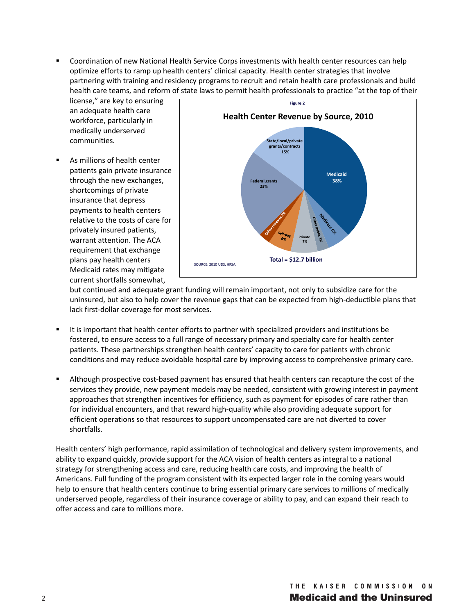Coordination of new National Health Service Corps investments with health center resources can help optimize efforts to ramp up health centers' clinical capacity. Health center strategies that involve partnering with training and residency programs to recruit and retain health care professionals and build health care teams, and reform of state laws to permit health professionals to practice "at the top of their

license," are key to ensuring an adequate health care workforce, particularly in medically underserved communities.

 As millions of health center patients gain private insurance through the new exchanges, shortcomings of private insurance that depress payments to health centers relative to the costs of care for privately insured patients, warrant attention. The ACA requirement that exchange plans pay health centers Medicaid rates may mitigate current shortfalls somewhat,



but continued and adequate grant funding will remain important, not only to subsidize care for the uninsured, but also to help cover the revenue gaps that can be expected from high-deductible plans that lack first-dollar coverage for most services.

- It is important that health center efforts to partner with specialized providers and institutions be fostered, to ensure access to a full range of necessary primary and specialty care for health center patients. These partnerships strengthen health centers' capacity to care for patients with chronic conditions and may reduce avoidable hospital care by improving access to comprehensive primary care.
- Although prospective cost-based payment has ensured that health centers can recapture the cost of the services they provide, new payment models may be needed, consistent with growing interest in payment approaches that strengthen incentives for efficiency, such as payment for episodes of care rather than for individual encounters, and that reward high-quality while also providing adequate support for efficient operations so that resources to support uncompensated care are not diverted to cover shortfalls.

Health centers' high performance, rapid assimilation of technological and delivery system improvements, and ability to expand quickly, provide support for the ACA vision of health centers as integral to a national strategy for strengthening access and care, reducing health care costs, and improving the health of Americans. Full funding of the program consistent with its expected larger role in the coming years would help to ensure that health centers continue to bring essential primary care services to millions of medically underserved people, regardless of their insurance coverage or ability to pay, and can expand their reach to offer access and care to millions more.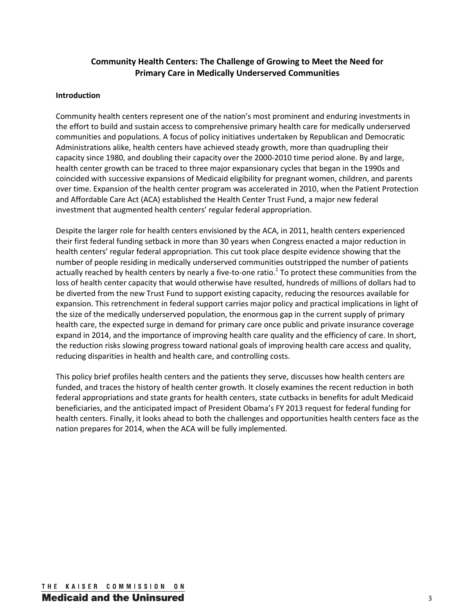# **Community Health Centers: The Challenge of Growing to Meet the Need for Primary Care in Medically Underserved Communities**

## **Introduction**

Community health centers represent one of the nation's most prominent and enduring investments in the effort to build and sustain access to comprehensive primary health care for medically underserved communities and populations. A focus of policy initiatives undertaken by Republican and Democratic Administrations alike, health centers have achieved steady growth, more than quadrupling their capacity since 1980, and doubling their capacity over the 2000-2010 time period alone. By and large, health center growth can be traced to three major expansionary cycles that began in the 1990s and coincided with successive expansions of Medicaid eligibility for pregnant women, children, and parents over time. Expansion of the health center program was accelerated in 2010, when the Patient Protection and Affordable Care Act (ACA) established the Health Center Trust Fund, a major new federal investment that augmented health centers' regular federal appropriation.

Despite the larger role for health centers envisioned by the ACA, in 2011, health centers experienced their first federal funding setback in more than 30 years when Congress enacted a major reduction in health centers' regular federal appropriation. This cut took place despite evidence showing that the number of people residing in medically underserved communities outstripped the number of patients actually reached by health centers by nearly a five-to-one ratio.<sup>1</sup> To protect these communities from the loss of health center capacity that would otherwise have resulted, hundreds of millions of dollars had to be diverted from the new Trust Fund to support existing capacity, reducing the resources available for expansion. This retrenchment in federal support carries major policy and practical implications in light of the size of the medically underserved population, the enormous gap in the current supply of primary health care, the expected surge in demand for primary care once public and private insurance coverage expand in 2014, and the importance of improving health care quality and the efficiency of care. In short, the reduction risks slowing progress toward national goals of improving health care access and quality, reducing disparities in health and health care, and controlling costs.

This policy brief profiles health centers and the patients they serve, discusses how health centers are funded, and traces the history of health center growth. It closely examines the recent reduction in both federal appropriations and state grants for health centers, state cutbacks in benefits for adult Medicaid beneficiaries, and the anticipated impact of President Obama's FY 2013 request for federal funding for health centers. Finally, it looks ahead to both the challenges and opportunities health centers face as the nation prepares for 2014, when the ACA will be fully implemented.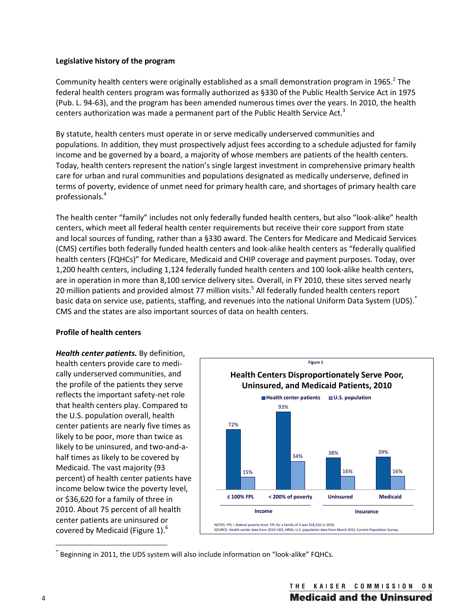## **Legislative history of the program**

Community health centers were originally established as a small demonstration program in 1965.<sup>2</sup> The federal health centers program was formally authorized as §330 of the Public Health Service Act in 1975 (Pub. L. 94-63), and the program has been amended numerous times over the years. In 2010, the health centers authorization was made a permanent part of the Public Health Service Act.<sup>3</sup>

By statute, health centers must operate in or serve medically underserved communities and populations. In addition, they must prospectively adjust fees according to a schedule adjusted for family income and be governed by a board, a majority of whose members are patients of the health centers. Today, health centers represent the nation's single largest investment in comprehensive primary health care for urban and rural communities and populations designated as medically underserve, defined in terms of poverty, evidence of unmet need for primary health care, and shortages of primary health care professionals.4

The health center "family" includes not only federally funded health centers, but also "look-alike" health centers, which meet all federal health center requirements but receive their core support from state and local sources of funding, rather than a §330 award. The Centers for Medicare and Medicaid Services (CMS) certifies both federally funded health centers and look-alike health centers as "federally qualified health centers (FQHCs)" for Medicare, Medicaid and CHIP coverage and payment purposes. Today, over 1,200 health centers, including 1,124 federally funded health centers and 100 look-alike health centers, are in operation in more than 8,100 service delivery sites. Overall, in FY 2010, these sites served nearly 20 million patients and provided almost 77 million visits.<sup>5</sup> All federally funded health centers report basic data on service use, patients, staffing, and revenues into the national Uniform Data System (UDS).<sup>\*</sup> CMS and the states are also important sources of data on health centers.

### **Profile of health centers**

*Health center patients.* By definition, health centers provide care to medically underserved communities, and the profile of the patients they serve reflects the important safety-net role that health centers play. Compared to the U.S. population overall, health center patients are nearly five times as likely to be poor, more than twice as likely to be uninsured, and two-and-ahalf times as likely to be covered by Medicaid. The vast majority (93 percent) of health center patients have income below twice the poverty level, or \$36,620 for a family of three in 2010. About 75 percent of all health center patients are uninsured or covered by Medicaid (Figure 1). $^6$ 



 $\overline{a}$ \* Beginning in 2011, the UDS system will also include information on "look-alike" FQHCs.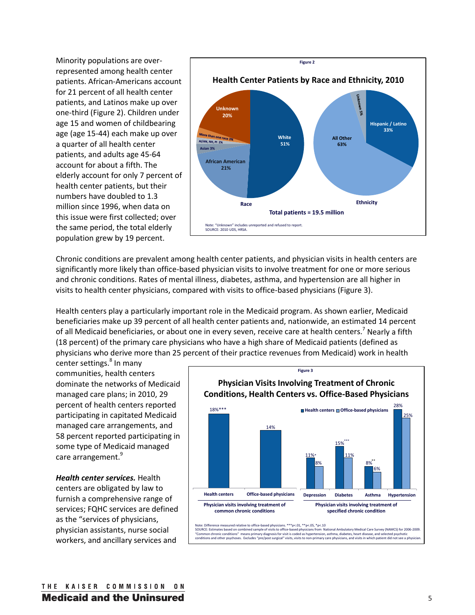Minority populations are overrepresented among health center patients. African-Americans account for 21 percent of all health center patients, and Latinos make up over one-third (Figure 2). Children under age 15 and women of childbearing age (age 15-44) each make up over a quarter of all health center patients, and adults age 45-64 account for about a fifth. The elderly account for only 7 percent of health center patients, but their numbers have doubled to 1.3 million since 1996, when data on this issue were first collected; over the same period, the total elderly population grew by 19 percent.



Chronic conditions are prevalent among health center patients, and physician visits in health centers are significantly more likely than office-based physician visits to involve treatment for one or more serious and chronic conditions. Rates of mental illness, diabetes, asthma, and hypertension are all higher in visits to health center physicians, compared with visits to office-based physicians (Figure 3).

Health centers play a particularly important role in the Medicaid program. As shown earlier, Medicaid beneficiaries make up 39 percent of all health center patients and, nationwide, an estimated 14 percent of all Medicaid beneficiaries, or about one in every seven, receive care at health centers.<sup>7</sup> Nearly a fifth (18 percent) of the primary care physicians who have a high share of Medicaid patients (defined as physicians who derive more than 25 percent of their practice revenues from Medicaid) work in health

center settings.<sup>8</sup> In many communities, health centers dominate the networks of Medicaid managed care plans; in 2010, 29 percent of health centers reported participating in capitated Medicaid managed care arrangements, and 58 percent reported participating in some type of Medicaid managed care arrangement.<sup>9</sup>

*Health center services.* Health centers are obligated by law to furnish a comprehensive range of services; FQHC services are defined as the "services of physicians, physician assistants, nurse social workers, and ancillary services and



Note: Difference measured relative to office-based physicians. \*\*\*p<.01, \*\*p<.05, \*p<.10<br>SOURCE: Estimates based on combined sample of visits to office-based physicians from National Ambulatory Medical Care Survey (NAMCS) "Common chronic conditions" means primary diagnosis for visit is coded as hypertension, asthma, diabetes, heart disease, and selected psychotic<br>conditions and other psychoses. Excludes "pre/post surgical" visits, visits to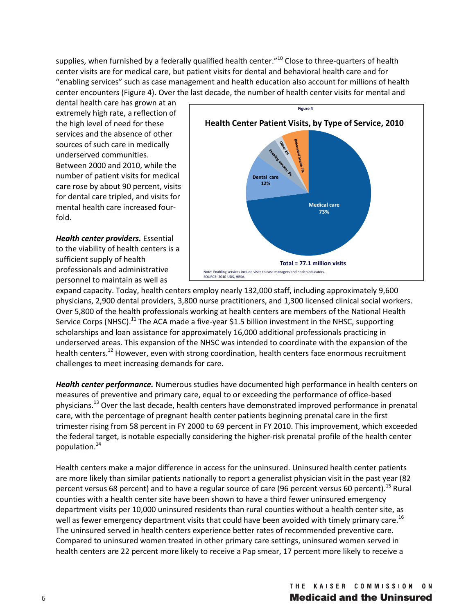supplies, when furnished by a federally qualified health center.<sup>"10</sup> Close to three-quarters of health center visits are for medical care, but patient visits for dental and behavioral health care and for "enabling services" such as case management and health education also account for millions of health center encounters (Figure 4). Over the last decade, the number of health center visits for mental and

dental health care has grown at an extremely high rate, a reflection of the high level of need for these services and the absence of other sources of such care in medically underserved communities. Between 2000 and 2010, while the number of patient visits for medical care rose by about 90 percent, visits for dental care tripled, and visits for mental health care increased fourfold.

*Health center providers.* Essential to the viability of health centers is a sufficient supply of health professionals and administrative personnel to maintain as well as



expand capacity. Today, health centers employ nearly 132,000 staff, including approximately 9,600 physicians, 2,900 dental providers, 3,800 nurse practitioners, and 1,300 licensed clinical social workers. Over 5,800 of the health professionals working at health centers are members of the National Health Service Corps (NHSC).<sup>11</sup> The ACA made a five-year \$1.5 billion investment in the NHSC, supporting scholarships and loan assistance for approximately 16,000 additional professionals practicing in underserved areas. This expansion of the NHSC was intended to coordinate with the expansion of the health centers.<sup>12</sup> However, even with strong coordination, health centers face enormous recruitment challenges to meet increasing demands for care.

*Health center performance.* Numerous studies have documented high performance in health centers on measures of preventive and primary care, equal to or exceeding the performance of office-based physicians.<sup>13</sup> Over the last decade, health centers have demonstrated improved performance in prenatal care, with the percentage of pregnant health center patients beginning prenatal care in the first trimester rising from 58 percent in FY 2000 to 69 percent in FY 2010. This improvement, which exceeded the federal target, is notable especially considering the higher-risk prenatal profile of the health center population.14

Health centers make a major difference in access for the uninsured. Uninsured health center patients are more likely than similar patients nationally to report a generalist physician visit in the past year (82 percent versus 68 percent) and to have a regular source of care (96 percent versus 60 percent).<sup>15</sup> Rural counties with a health center site have been shown to have a third fewer uninsured emergency department visits per 10,000 uninsured residents than rural counties without a health center site, as well as fewer emergency department visits that could have been avoided with timely primary care.<sup>16</sup> The uninsured served in health centers experience better rates of recommended preventive care. Compared to uninsured women treated in other primary care settings, uninsured women served in health centers are 22 percent more likely to receive a Pap smear, 17 percent more likely to receive a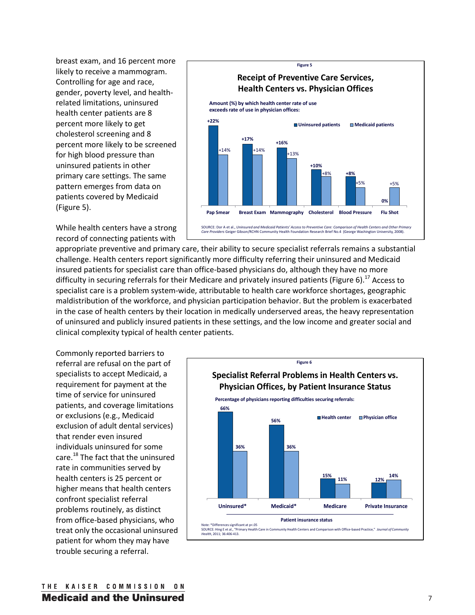breast exam, and 16 percent more likely to receive a mammogram. Controlling for age and race, gender, poverty level, and healthrelated limitations, uninsured health center patients are 8 percent more likely to get cholesterol screening and 8 percent more likely to be screened for high blood pressure than uninsured patients in other primary care settings. The same pattern emerges from data on patients covered by Medicaid (Figure 5).



While health centers have a strong record of connecting patients with

appropriate preventive and primary care, their ability to secure specialist referrals remains a substantial challenge. Health centers report significantly more difficulty referring their uninsured and Medicaid insured patients for specialist care than office-based physicians do, although they have no more difficulty in securing referrals for their Medicare and privately insured patients (Figure 6).<sup>17</sup> Access to specialist care is a problem system-wide, attributable to health care workforce shortages, geographic maldistribution of the workforce, and physician participation behavior. But the problem is exacerbated in the case of health centers by their location in medically underserved areas, the heavy representation of uninsured and publicly insured patients in these settings, and the low income and greater social and clinical complexity typical of health center patients.

Commonly reported barriers to referral are refusal on the part of specialists to accept Medicaid, a requirement for payment at the time of service for uninsured patients, and coverage limitations or exclusions (e.g., Medicaid exclusion of adult dental services) that render even insured individuals uninsured for some care.<sup>18</sup> The fact that the uninsured rate in communities served by health centers is 25 percent or higher means that health centers confront specialist referral problems routinely, as distinct from office-based physicians, who treat only the occasional uninsured patient for whom they may have trouble securing a referral.

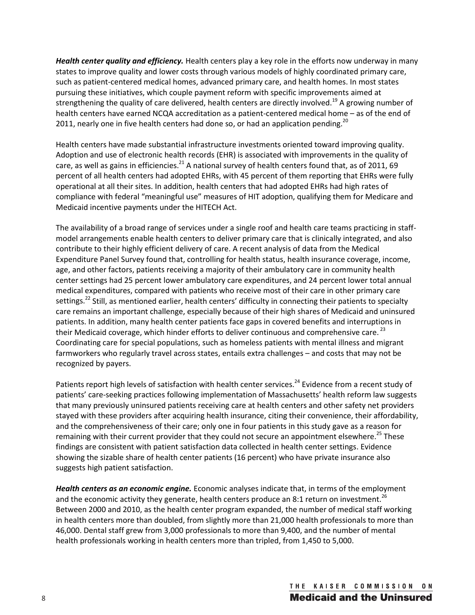*Health center quality and efficiency.* Health centers play a key role in the efforts now underway in many states to improve quality and lower costs through various models of highly coordinated primary care, such as patient-centered medical homes, advanced primary care, and health homes. In most states pursuing these initiatives, which couple payment reform with specific improvements aimed at strengthening the quality of care delivered, health centers are directly involved.<sup>19</sup> A growing number of health centers have earned NCQA accreditation as a patient-centered medical home – as of the end of 2011, nearly one in five health centers had done so, or had an application pending. $^{20}$ 

Health centers have made substantial infrastructure investments oriented toward improving quality. Adoption and use of electronic health records (EHR) is associated with improvements in the quality of care, as well as gains in efficiencies.<sup>21</sup> A national survey of health centers found that, as of 2011, 69 percent of all health centers had adopted EHRs, with 45 percent of them reporting that EHRs were fully operational at all their sites. In addition, health centers that had adopted EHRs had high rates of compliance with federal "meaningful use" measures of HIT adoption, qualifying them for Medicare and Medicaid incentive payments under the HITECH Act.

The availability of a broad range of services under a single roof and health care teams practicing in staffmodel arrangements enable health centers to deliver primary care that is clinically integrated, and also contribute to their highly efficient delivery of care. A recent analysis of data from the Medical Expenditure Panel Survey found that, controlling for health status, health insurance coverage, income, age, and other factors, patients receiving a majority of their ambulatory care in community health center settings had 25 percent lower ambulatory care expenditures, and 24 percent lower total annual medical expenditures, compared with patients who receive most of their care in other primary care settings.<sup>22</sup> Still, as mentioned earlier, health centers' difficulty in connecting their patients to specialty care remains an important challenge, especially because of their high shares of Medicaid and uninsured patients. In addition, many health center patients face gaps in covered benefits and interruptions in their Medicaid coverage, which hinder efforts to deliver continuous and comprehensive care.<sup>23</sup> Coordinating care for special populations, such as homeless patients with mental illness and migrant farmworkers who regularly travel across states, entails extra challenges – and costs that may not be recognized by payers.

Patients report high levels of satisfaction with health center services.<sup>24</sup> Evidence from a recent study of patients' care-seeking practices following implementation of Massachusetts' health reform law suggests that many previously uninsured patients receiving care at health centers and other safety net providers stayed with these providers after acquiring health insurance, citing their convenience, their affordability, and the comprehensiveness of their care; only one in four patients in this study gave as a reason for remaining with their current provider that they could not secure an appointment elsewhere.<sup>25</sup> These findings are consistent with patient satisfaction data collected in health center settings. Evidence showing the sizable share of health center patients (16 percent) who have private insurance also suggests high patient satisfaction.

*Health centers as an economic engine.* Economic analyses indicate that, in terms of the employment and the economic activity they generate, health centers produce an 8:1 return on investment.<sup>26</sup> Between 2000 and 2010, as the health center program expanded, the number of medical staff working in health centers more than doubled, from slightly more than 21,000 health professionals to more than 46,000. Dental staff grew from 3,000 professionals to more than 9,400, and the number of mental health professionals working in health centers more than tripled, from 1,450 to 5,000.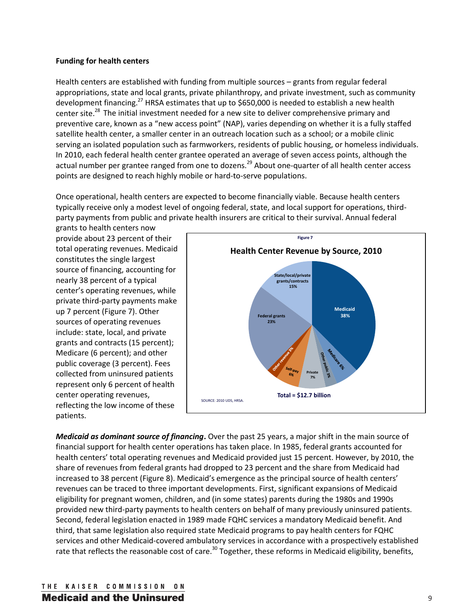## **Funding for health centers**

Health centers are established with funding from multiple sources – grants from regular federal appropriations, state and local grants, private philanthropy, and private investment, such as community development financing.<sup>27</sup> HRSA estimates that up to \$650,000 is needed to establish a new health center site.<sup>28</sup> The initial investment needed for a new site to deliver comprehensive primary and preventive care, known as a "new access point" (NAP), varies depending on whether it is a fully staffed satellite health center, a smaller center in an outreach location such as a school; or a mobile clinic serving an isolated population such as farmworkers, residents of public housing, or homeless individuals. In 2010, each federal health center grantee operated an average of seven access points, although the actual number per grantee ranged from one to dozens.<sup>29</sup> About one-quarter of all health center access points are designed to reach highly mobile or hard-to-serve populations.

Once operational, health centers are expected to become financially viable. Because health centers typically receive only a modest level of ongoing federal, state, and local support for operations, thirdparty payments from public and private health insurers are critical to their survival. Annual federal

grants to health centers now provide about 23 percent of their total operating revenues. Medicaid constitutes the single largest source of financing, accounting for nearly 38 percent of a typical center's operating revenues, while private third-party payments make up 7 percent (Figure 7). Other sources of operating revenues include: state, local, and private grants and contracts (15 percent); Medicare (6 percent); and other public coverage (3 percent). Fees collected from uninsured patients represent only 6 percent of health center operating revenues, reflecting the low income of these patients.



*Medicaid as dominant source of financing***.** Over the past 25 years, a major shift in the main source of financial support for health center operations has taken place. In 1985, federal grants accounted for health centers' total operating revenues and Medicaid provided just 15 percent. However, by 2010, the share of revenues from federal grants had dropped to 23 percent and the share from Medicaid had increased to 38 percent (Figure 8). Medicaid's emergence as the principal source of health centers' revenues can be traced to three important developments. First, significant expansions of Medicaid eligibility for pregnant women, children, and (in some states) parents during the 1980s and 1990s provided new third-party payments to health centers on behalf of many previously uninsured patients. Second, federal legislation enacted in 1989 made FQHC services a mandatory Medicaid benefit. And third, that same legislation also required state Medicaid programs to pay health centers for FQHC services and other Medicaid-covered ambulatory services in accordance with a prospectively established rate that reflects the reasonable cost of care.<sup>30</sup> Together, these reforms in Medicaid eligibility, benefits,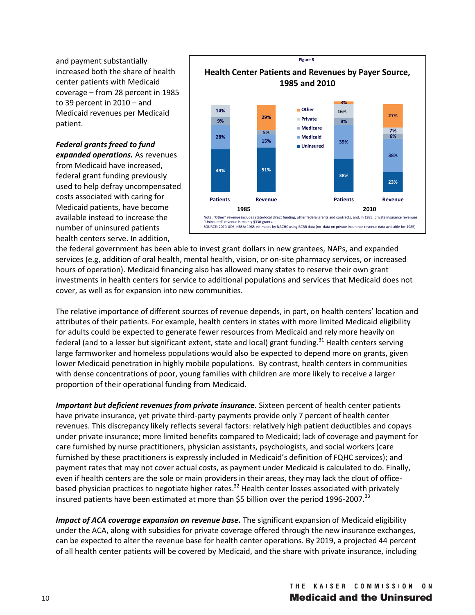and payment substantially increased both the share of health center patients with Medicaid coverage – from 28 percent in 1985 to 39 percent in 2010 – and Medicaid revenues per Medicaid patient.

*Federal grants freed to fund expanded operations.* As revenues from Medicaid have increased, federal grant funding previously used to help defray uncompensated costs associated with caring for Medicaid patients, have become available instead to increase the number of uninsured patients health centers serve. In addition,



the federal government has been able to invest grant dollars in new grantees, NAPs, and expanded services (e.g, addition of oral health, mental health, vision, or on-site pharmacy services, or increased hours of operation). Medicaid financing also has allowed many states to reserve their own grant investments in health centers for service to additional populations and services that Medicaid does not cover, as well as for expansion into new communities.

The relative importance of different sources of revenue depends, in part, on health centers' location and attributes of their patients. For example, health centers in states with more limited Medicaid eligibility for adults could be expected to generate fewer resources from Medicaid and rely more heavily on federal (and to a lesser but significant extent, state and local) grant funding.<sup>31</sup> Health centers serving large farmworker and homeless populations would also be expected to depend more on grants, given lower Medicaid penetration in highly mobile populations. By contrast, health centers in communities with dense concentrations of poor, young families with children are more likely to receive a larger proportion of their operational funding from Medicaid.

*Important but deficient revenues from private insurance.* Sixteen percent of health center patients have private insurance, yet private third-party payments provide only 7 percent of health center revenues. This discrepancy likely reflects several factors: relatively high patient deductibles and copays under private insurance; more limited benefits compared to Medicaid; lack of coverage and payment for care furnished by nurse practitioners, physician assistants, psychologists, and social workers (care furnished by these practitioners is expressly included in Medicaid's definition of FQHC services); and payment rates that may not cover actual costs, as payment under Medicaid is calculated to do. Finally, even if health centers are the sole or main providers in their areas, they may lack the clout of officebased physician practices to negotiate higher rates.<sup>32</sup> Health center losses associated with privately insured patients have been estimated at more than \$5 billion over the period 1996-2007.<sup>33</sup>

*Impact of ACA coverage expansion on revenue base.* The significant expansion of Medicaid eligibility under the ACA, along with subsidies for private coverage offered through the new insurance exchanges, can be expected to alter the revenue base for health center operations. By 2019, a projected 44 percent of all health center patients will be covered by Medicaid, and the share with private insurance, including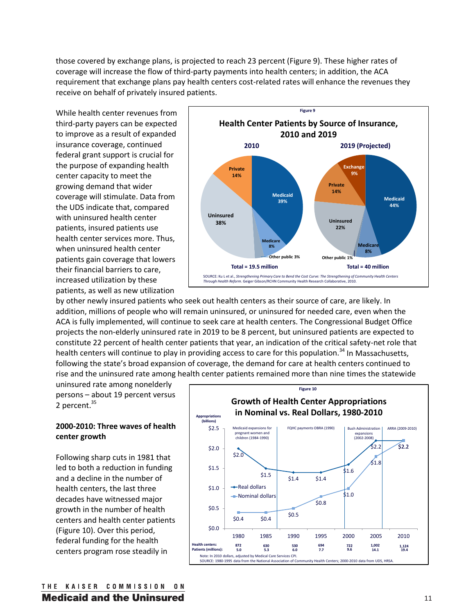those covered by exchange plans, is projected to reach 23 percent (Figure 9). These higher rates of coverage will increase the flow of third-party payments into health centers; in addition, the ACA requirement that exchange plans pay health centers cost-related rates will enhance the revenues they receive on behalf of privately insured patients.

While health center revenues from third-party payers can be expected to improve as a result of expanded insurance coverage, continued federal grant support is crucial for the purpose of expanding health center capacity to meet the growing demand that wider coverage will stimulate. Data from the UDS indicate that, compared with uninsured health center patients, insured patients use health center services more. Thus, when uninsured health center patients gain coverage that lowers their financial barriers to care, increased utilization by these patients, as well as new utilization



by other newly insured patients who seek out health centers as their source of care, are likely. In addition, millions of people who will remain uninsured, or uninsured for needed care, even when the ACA is fully implemented, will continue to seek care at health centers. The Congressional Budget Office projects the non-elderly uninsured rate in 2019 to be 8 percent, but uninsured patients are expected to constitute 22 percent of health center patients that year, an indication of the critical safety-net role that health centers will continue to play in providing access to care for this population.<sup>34</sup> In Massachusetts, following the state's broad expansion of coverage, the demand for care at health centers continued to rise and the uninsured rate among health center patients remained more than nine times the statewide

uninsured rate among nonelderly persons – about 19 percent versus 2 percent.<sup>35</sup>

# **2000-2010: Three waves of health center growth**

Following sharp cuts in 1981 that led to both a reduction in funding and a decline in the number of health centers, the last three decades have witnessed major growth in the number of health centers and health center patients (Figure 10). Over this period, federal funding for the health centers program rose steadily in

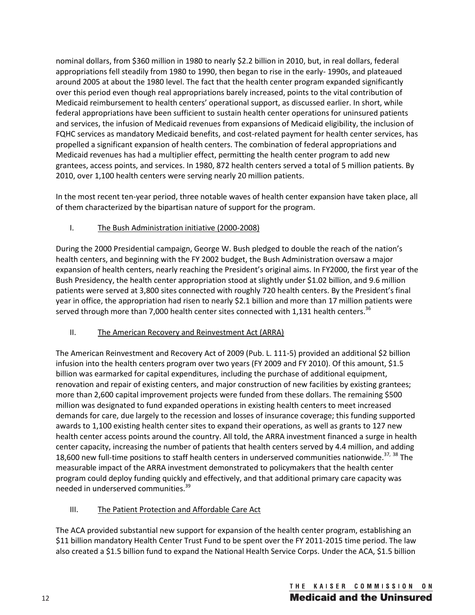nominal dollars, from \$360 million in 1980 to nearly \$2.2 billion in 2010, but, in real dollars, federal appropriations fell steadily from 1980 to 1990, then began to rise in the early- 1990s, and plateaued around 2005 at about the 1980 level. The fact that the health center program expanded significantly over this period even though real appropriations barely increased, points to the vital contribution of Medicaid reimbursement to health centers' operational support, as discussed earlier. In short, while federal appropriations have been sufficient to sustain health center operations for uninsured patients and services, the infusion of Medicaid revenues from expansions of Medicaid eligibility, the inclusion of FQHC services as mandatory Medicaid benefits, and cost-related payment for health center services, has propelled a significant expansion of health centers. The combination of federal appropriations and Medicaid revenues has had a multiplier effect, permitting the health center program to add new grantees, access points, and services. In 1980, 872 health centers served a total of 5 million patients. By 2010, over 1,100 health centers were serving nearly 20 million patients.

In the most recent ten-year period, three notable waves of health center expansion have taken place, all of them characterized by the bipartisan nature of support for the program.

# I. The Bush Administration initiative (2000-2008)

During the 2000 Presidential campaign, George W. Bush pledged to double the reach of the nation's health centers, and beginning with the FY 2002 budget, the Bush Administration oversaw a major expansion of health centers, nearly reaching the President's original aims. In FY2000, the first year of the Bush Presidency, the health center appropriation stood at slightly under \$1.02 billion, and 9.6 million patients were served at 3,800 sites connected with roughly 720 health centers. By the President's final year in office, the appropriation had risen to nearly \$2.1 billion and more than 17 million patients were served through more than 7,000 health center sites connected with 1,131 health centers.<sup>36</sup>

# II. The American Recovery and Reinvestment Act (ARRA)

The American Reinvestment and Recovery Act of 2009 (Pub. L. 111-5) provided an additional \$2 billion infusion into the health centers program over two years (FY 2009 and FY 2010). Of this amount, \$1.5 billion was earmarked for capital expenditures, including the purchase of additional equipment, renovation and repair of existing centers, and major construction of new facilities by existing grantees; more than 2,600 capital improvement projects were funded from these dollars. The remaining \$500 million was designated to fund expanded operations in existing health centers to meet increased demands for care, due largely to the recession and losses of insurance coverage; this funding supported awards to 1,100 existing health center sites to expand their operations, as well as grants to 127 new health center access points around the country. All told, the ARRA investment financed a surge in health center capacity, increasing the number of patients that health centers served by 4.4 million, and adding 18,600 new full-time positions to staff health centers in underserved communities nationwide.<sup>37, 38</sup> The measurable impact of the ARRA investment demonstrated to policymakers that the health center program could deploy funding quickly and effectively, and that additional primary care capacity was needed in underserved communities.39

# III. The Patient Protection and Affordable Care Act

The ACA provided substantial new support for expansion of the health center program, establishing an \$11 billion mandatory Health Center Trust Fund to be spent over the FY 2011-2015 time period. The law also created a \$1.5 billion fund to expand the National Health Service Corps. Under the ACA, \$1.5 billion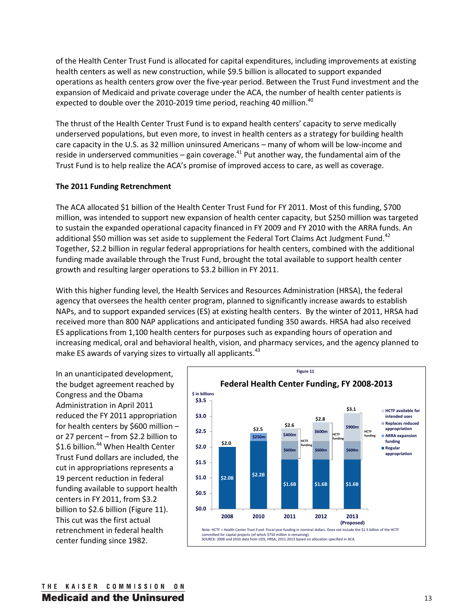of the Health Center Trust Fund is allocated for capital expenditures, including improvements at existing health centers as well as new construction, while \$9.5 billion is allocated to support expanded operations as health centers grow over the five-year period. Between the Trust Fund investment and the expansion of Medicaid and private coverage under the ACA, the number of health center patients is expected to double over the 2010-2019 time period, reaching 40 million. $40$ 

The thrust of the Health Center Trust Fund is to expand health centers' capacity to serve medically underserved populations, but even more, to invest in health centers as a strategy for building health care capacity in the U.S. as 32 million uninsured Americans – many of whom will be low-income and reside in underserved communities – gain coverage.<sup>41</sup> Put another way, the fundamental aim of the Trust Fund is to help realize the ACA's promise of improved access to care, as well as coverage.

## **The 2011 Funding Retrenchment**

The ACA allocated \$1 billion of the Health Center Trust Fund for FY 2011. Most of this funding, \$700 million, was intended to support new expansion of health center capacity, but \$250 million was targeted to sustain the expanded operational capacity financed in FY 2009 and FY 2010 with the ARRA funds. An additional \$50 million was set aside to supplement the Federal Tort Claims Act Judgment Fund.<sup>42</sup> Together, \$2.2 billion in regular federal appropriations for health centers, combined with the additional funding made available through the Trust Fund, brought the total available to support health center growth and resulting larger operations to \$3.2 billion in FY 2011.

With this higher funding level, the Health Services and Resources Administration (HRSA), the federal agency that oversees the health center program, planned to significantly increase awards to establish NAPs, and to support expanded services (ES) at existing health centers. By the winter of 2011, HRSA had received more than 800 NAP applications and anticipated funding 350 awards. HRSA had also received ES applications from 1,100 health centers for purposes such as expanding hours of operation and increasing medical, oral and behavioral health, vision, and pharmacy services, and the agency planned to make ES awards of varying sizes to virtually all applicants.<sup>43</sup>

In an unanticipated development, the budget agreement reached by Congress and the Obama Administration in April 2011 reduced the FY 2011 appropriation for health centers by \$600 million – or 27 percent – from \$2.2 billion to \$1.6 billion.<sup>44</sup> When Health Center Trust Fund dollars are included, the cut in appropriations represents a 19 percent reduction in federal funding available to support health centers in FY 2011, from \$3.2 billion to \$2.6 billion (Figure 11). This cut was the first actual retrenchment in federal health center funding since 1982.

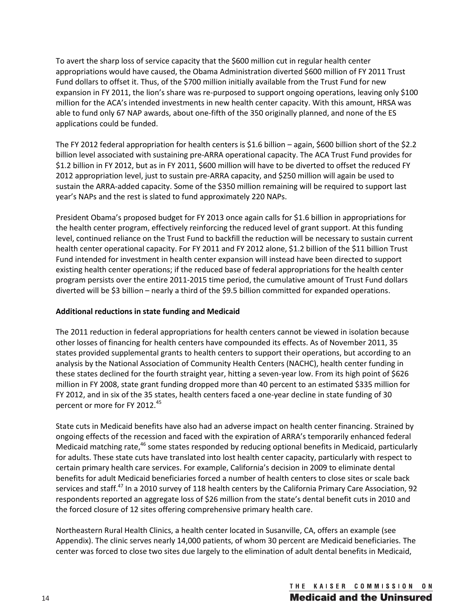To avert the sharp loss of service capacity that the \$600 million cut in regular health center appropriations would have caused, the Obama Administration diverted \$600 million of FY 2011 Trust Fund dollars to offset it. Thus, of the \$700 million initially available from the Trust Fund for new expansion in FY 2011, the lion's share was re-purposed to support ongoing operations, leaving only \$100 million for the ACA's intended investments in new health center capacity. With this amount, HRSA was able to fund only 67 NAP awards, about one-fifth of the 350 originally planned, and none of the ES applications could be funded.

The FY 2012 federal appropriation for health centers is \$1.6 billion – again, \$600 billion short of the \$2.2 billion level associated with sustaining pre-ARRA operational capacity. The ACA Trust Fund provides for \$1.2 billion in FY 2012, but as in FY 2011, \$600 million will have to be diverted to offset the reduced FY 2012 appropriation level, just to sustain pre-ARRA capacity, and \$250 million will again be used to sustain the ARRA-added capacity. Some of the \$350 million remaining will be required to support last year's NAPs and the rest is slated to fund approximately 220 NAPs.

President Obama's proposed budget for FY 2013 once again calls for \$1.6 billion in appropriations for the health center program, effectively reinforcing the reduced level of grant support. At this funding level, continued reliance on the Trust Fund to backfill the reduction will be necessary to sustain current health center operational capacity. For FY 2011 and FY 2012 alone, \$1.2 billion of the \$11 billion Trust Fund intended for investment in health center expansion will instead have been directed to support existing health center operations; if the reduced base of federal appropriations for the health center program persists over the entire 2011-2015 time period, the cumulative amount of Trust Fund dollars diverted will be \$3 billion – nearly a third of the \$9.5 billion committed for expanded operations.

# **Additional reductions in state funding and Medicaid**

The 2011 reduction in federal appropriations for health centers cannot be viewed in isolation because other losses of financing for health centers have compounded its effects. As of November 2011, 35 states provided supplemental grants to health centers to support their operations, but according to an analysis by the National Association of Community Health Centers (NACHC), health center funding in these states declined for the fourth straight year, hitting a seven-year low. From its high point of \$626 million in FY 2008, state grant funding dropped more than 40 percent to an estimated \$335 million for FY 2012, and in six of the 35 states, health centers faced a one-year decline in state funding of 30 percent or more for FY 2012.<sup>45</sup>

State cuts in Medicaid benefits have also had an adverse impact on health center financing. Strained by ongoing effects of the recession and faced with the expiration of ARRA's temporarily enhanced federal Medicaid matching rate,<sup>46</sup> some states responded by reducing optional benefits in Medicaid, particularly for adults. These state cuts have translated into lost health center capacity, particularly with respect to certain primary health care services. For example, California's decision in 2009 to eliminate dental benefits for adult Medicaid beneficiaries forced a number of health centers to close sites or scale back services and staff.<sup>47</sup> In a 2010 survey of 118 health centers by the California Primary Care Association, 92 respondents reported an aggregate loss of \$26 million from the state's dental benefit cuts in 2010 and the forced closure of 12 sites offering comprehensive primary health care.

Northeastern Rural Health Clinics, a health center located in Susanville, CA, offers an example (see Appendix). The clinic serves nearly 14,000 patients, of whom 30 percent are Medicaid beneficiaries. The center was forced to close two sites due largely to the elimination of adult dental benefits in Medicaid,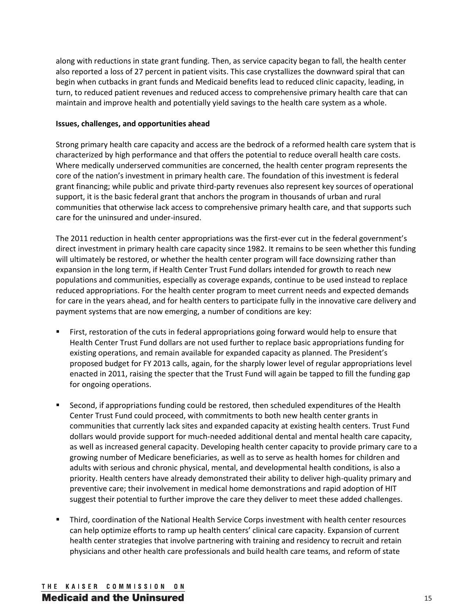along with reductions in state grant funding. Then, as service capacity began to fall, the health center also reported a loss of 27 percent in patient visits. This case crystallizes the downward spiral that can begin when cutbacks in grant funds and Medicaid benefits lead to reduced clinic capacity, leading, in turn, to reduced patient revenues and reduced access to comprehensive primary health care that can maintain and improve health and potentially yield savings to the health care system as a whole.

## **Issues, challenges, and opportunities ahead**

Strong primary health care capacity and access are the bedrock of a reformed health care system that is characterized by high performance and that offers the potential to reduce overall health care costs. Where medically underserved communities are concerned, the health center program represents the core of the nation's investment in primary health care. The foundation of this investment is federal grant financing; while public and private third-party revenues also represent key sources of operational support, it is the basic federal grant that anchors the program in thousands of urban and rural communities that otherwise lack access to comprehensive primary health care, and that supports such care for the uninsured and under-insured.

The 2011 reduction in health center appropriations was the first-ever cut in the federal government's direct investment in primary health care capacity since 1982. It remains to be seen whether this funding will ultimately be restored, or whether the health center program will face downsizing rather than expansion in the long term, if Health Center Trust Fund dollars intended for growth to reach new populations and communities, especially as coverage expands, continue to be used instead to replace reduced appropriations. For the health center program to meet current needs and expected demands for care in the years ahead, and for health centers to participate fully in the innovative care delivery and payment systems that are now emerging, a number of conditions are key:

- First, restoration of the cuts in federal appropriations going forward would help to ensure that Health Center Trust Fund dollars are not used further to replace basic appropriations funding for existing operations, and remain available for expanded capacity as planned. The President's proposed budget for FY 2013 calls, again, for the sharply lower level of regular appropriations level enacted in 2011, raising the specter that the Trust Fund will again be tapped to fill the funding gap for ongoing operations.
- Second, if appropriations funding could be restored, then scheduled expenditures of the Health Center Trust Fund could proceed, with commitments to both new health center grants in communities that currently lack sites and expanded capacity at existing health centers. Trust Fund dollars would provide support for much-needed additional dental and mental health care capacity, as well as increased general capacity. Developing health center capacity to provide primary care to a growing number of Medicare beneficiaries, as well as to serve as health homes for children and adults with serious and chronic physical, mental, and developmental health conditions, is also a priority. Health centers have already demonstrated their ability to deliver high-quality primary and preventive care; their involvement in medical home demonstrations and rapid adoption of HIT suggest their potential to further improve the care they deliver to meet these added challenges.
- Third, coordination of the National Health Service Corps investment with health center resources can help optimize efforts to ramp up health centers' clinical care capacity. Expansion of current health center strategies that involve partnering with training and residency to recruit and retain physicians and other health care professionals and build health care teams, and reform of state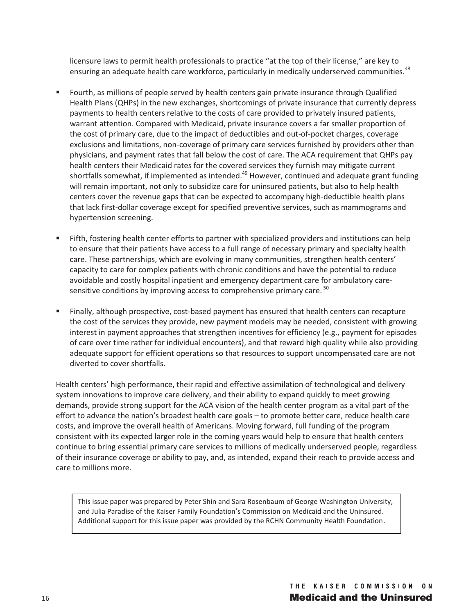licensure laws to permit health professionals to practice "at the top of their license," are key to ensuring an adequate health care workforce, particularly in medically underserved communities.<sup>48</sup>

- Fourth, as millions of people served by health centers gain private insurance through Qualified Health Plans (QHPs) in the new exchanges, shortcomings of private insurance that currently depress payments to health centers relative to the costs of care provided to privately insured patients, warrant attention. Compared with Medicaid, private insurance covers a far smaller proportion of the cost of primary care, due to the impact of deductibles and out-of-pocket charges, coverage exclusions and limitations, non-coverage of primary care services furnished by providers other than physicians, and payment rates that fall below the cost of care. The ACA requirement that QHPs pay health centers their Medicaid rates for the covered services they furnish may mitigate current shortfalls somewhat, if implemented as intended.<sup>49</sup> However, continued and adequate grant funding will remain important, not only to subsidize care for uninsured patients, but also to help health centers cover the revenue gaps that can be expected to accompany high-deductible health plans that lack first-dollar coverage except for specified preventive services, such as mammograms and hypertension screening.
- Fifth, fostering health center efforts to partner with specialized providers and institutions can help to ensure that their patients have access to a full range of necessary primary and specialty health care. These partnerships, which are evolving in many communities, strengthen health centers' capacity to care for complex patients with chronic conditions and have the potential to reduce avoidable and costly hospital inpatient and emergency department care for ambulatory caresensitive conditions by improving access to comprehensive primary care.<sup>50</sup>
- Finally, although prospective, cost-based payment has ensured that health centers can recapture the cost of the services they provide, new payment models may be needed, consistent with growing interest in payment approaches that strengthen incentives for efficiency (e.g., payment for episodes of care over time rather for individual encounters), and that reward high quality while also providing adequate support for efficient operations so that resources to support uncompensated care are not diverted to cover shortfalls.

Health centers' high performance, their rapid and effective assimilation of technological and delivery system innovations to improve care delivery, and their ability to expand quickly to meet growing demands, provide strong support for the ACA vision of the health center program as a vital part of the effort to advance the nation's broadest health care goals – to promote better care, reduce health care costs, and improve the overall health of Americans. Moving forward, full funding of the program consistent with its expected larger role in the coming years would help to ensure that health centers continue to bring essential primary care services to millions of medically underserved people, regardless of their insurance coverage or ability to pay, and, as intended, expand their reach to provide access and care to millions more.

This issue paper was prepared by Peter Shin and Sara Rosenbaum of George Washington University, and Julia Paradise of the Kaiser Family Foundation's Commission on Medicaid and the Uninsured. Additional support for this issue paper was provided by the RCHN Community Health Foundation.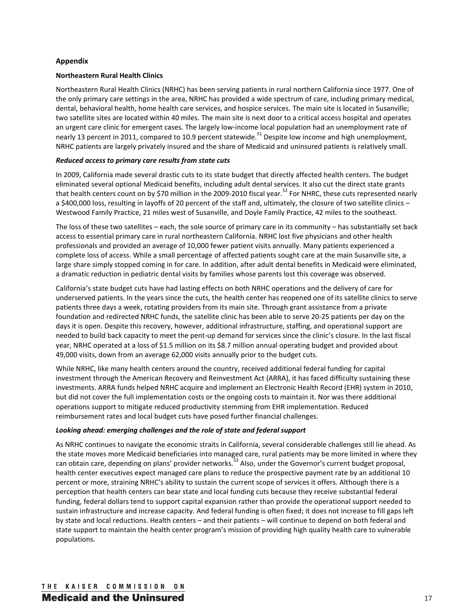#### **Appendix**

#### **Northeastern Rural Health Clinics**

Northeastern Rural Health Clinics (NRHC) has been serving patients in rural northern California since 1977. One of the only primary care settings in the area, NRHC has provided a wide spectrum of care, including primary medical, dental, behavioral health, home health care services, and hospice services. The main site is located in Susanville; two satellite sites are located within 40 miles. The main site is next door to a critical access hospital and operates an urgent care clinic for emergent cases. The largely low-income local population had an unemployment rate of nearly 13 percent in 2011, compared to 10.9 percent statewide.<sup>51</sup> Despite low income and high unemployment, NRHC patients are largely privately insured and the share of Medicaid and uninsured patients is relatively small.

#### *Reduced access to primary care results from state cuts*

In 2009, California made several drastic cuts to its state budget that directly affected health centers. The budget eliminated several optional Medicaid benefits, including adult dental services. It also cut the direct state grants that health centers count on by \$70 million in the 2009-2010 fiscal year.<sup>52</sup> For NHRC, these cuts represented nearly a \$400,000 loss, resulting in layoffs of 20 percent of the staff and, ultimately, the closure of two satellite clinics – Westwood Family Practice, 21 miles west of Susanville, and Doyle Family Practice, 42 miles to the southeast.

The loss of these two satellites – each, the sole source of primary care in its community – has substantially set back access to essential primary care in rural northeastern California. NRHC lost five physicians and other health professionals and provided an average of 10,000 fewer patient visits annually. Many patients experienced a complete loss of access. While a small percentage of affected patients sought care at the main Susanville site, a large share simply stopped coming in for care. In addition, after adult dental benefits in Medicaid were eliminated, a dramatic reduction in pediatric dental visits by families whose parents lost this coverage was observed.

California's state budget cuts have had lasting effects on both NRHC operations and the delivery of care for underserved patients. In the years since the cuts, the health center has reopened one of its satellite clinics to serve patients three days a week, rotating providers from its main site. Through grant assistance from a private foundation and redirected NRHC funds, the satellite clinic has been able to serve 20-25 patients per day on the days it is open. Despite this recovery, however, additional infrastructure, staffing, and operational support are needed to build back capacity to meet the pent-up demand for services since the clinic's closure. In the last fiscal year, NRHC operated at a loss of \$1.5 million on its \$8.7 million annual operating budget and provided about 49,000 visits, down from an average 62,000 visits annually prior to the budget cuts.

While NRHC, like many health centers around the country, received additional federal funding for capital investment through the American Recovery and Reinvestment Act (ARRA), it has faced difficulty sustaining these investments. ARRA funds helped NRHC acquire and implement an Electronic Health Record (EHR) system in 2010, but did not cover the full implementation costs or the ongoing costs to maintain it. Nor was there additional operations support to mitigate reduced productivity stemming from EHR implementation. Reduced reimbursement rates and local budget cuts have posed further financial challenges.

#### *Looking ahead: emerging challenges and the role of state and federal support*

As NRHC continues to navigate the economic straits in California, several considerable challenges still lie ahead. As the state moves more Medicaid beneficiaries into managed care, rural patients may be more limited in where they can obtain care, depending on plans' provider networks.<sup>53</sup> Also, under the Governor's current budget proposal, health center executives expect managed care plans to reduce the prospective payment rate by an additional 10 percent or more, straining NRHC's ability to sustain the current scope of services it offers. Although there is a perception that health centers can bear state and local funding cuts because they receive substantial federal funding, federal dollars tend to support capital expansion rather than provide the operational support needed to sustain infrastructure and increase capacity. And federal funding is often fixed; it does not increase to fill gaps left by state and local reductions. Health centers – and their patients – will continue to depend on both federal and state support to maintain the health center program's mission of providing high quality health care to vulnerable populations.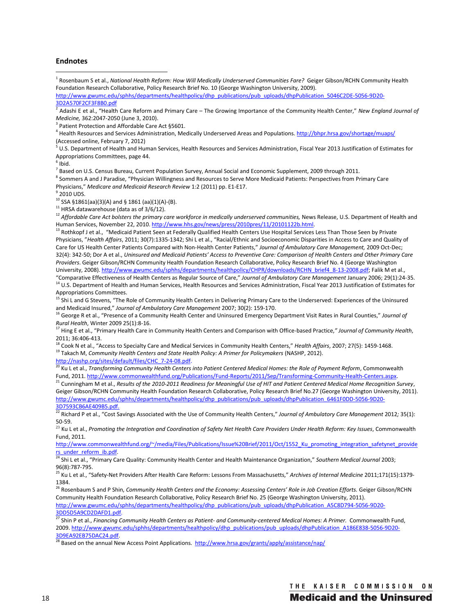#### **Endnotes**

 $\overline{a}$ 

<sup>1</sup> Rosenbaum S et al., *National Health Reform: How Will Medically Underserved Communities Fare?* Geiger Gibson/RCHN Community Health Foundation Research Collaborative, Policy Research Brief No. 10 (George Washington University, 2009).

http://www.gwumc.edu/sphhs/departments/healthpolicy/dhp\_publications/pub\_uploads/dhpPublication\_5046C2DE-5056-9D20-<br>3D2A570F2CF3F8B0.pdf

Adashi E et al., "Health Care Reform and Primary Care – The Growing Importance of the Community Health Center," *New England Journal of Medicine,* 362:2047-2050 (June 3, 2010).

Patient Protection and Affordable Care Act §5601.

<sup>4</sup> Health Resources and Services Administration, Medically Underserved Areas and Populations. http://bhpr.hrsa.gov/shortage/muaps/ (Accessed online, February 7, 2012)

5 U.S. Department of Health and Human Services, Health Resources and Services Administration, Fiscal Year 2013 Justification of Estimates for Appropriations Committees, page 44.

 $<sup>6</sup>$  Ibid.</sup>

<sup>7</sup> Based on U.S. Census Bureau, Current Population Survey, Annual Social and Economic Supplement, 2009 through 2011.

<sup>8</sup> Sommers A and J Paradise, "Physician Willingness and Resources to Serve More Medicaid Patients: Perspectives from Primary Care Physicians," *Medicare and Medicaid Research Review* 1:2 (2011) pp. E1-E17.

 $^9$  2010 UDS.

<sup>10</sup> SSA §1861(aa)(3)(A) and § 1861 (aa)(1)(A)-(B).<br><sup>11</sup> HRSA datawarehouse (data as of 3/6/12).

<sup>12</sup> Affordable Care Act bolsters the primary care workforce in medically underserved communities, News Release, U.S. Department of Health and<br>Human Services, November 22, 2010. http://www.hhs.gov/news/press/2010pres/11/20

<sup>13</sup> Rothkopf J et al., "Medicaid Patient Seen at Federally Qualified Health Centers Use Hospital Services Less Than Those Seen by Private Physicians, "*Health Affairs*, 2011; 30(7):1335-1342; Shi L et al., "Racial/Ethnic and Socioeconomic Disparities in Access to Care and Quality of Care for US Health Center Patients Compared with Non-Health Center Patients," *Journal of Ambulatory Care Management,* 2009 Oct-Dec; 32(4): 342-50; Dor A et al., *Uninsured and Medicaid Patients' Access to Preventive Care: Comparison of Health Centers and Other Primary Care Providers*. Geiger Gibson/RCHN Community Health Foundation Research Collaborative, Policy Research Brief No. 4 (George Washington University, 2008). http://www.gwumc.edu/sphhs/departments/healthpolicy/CHPR/downloads/RCHN\_brief4\_8-13-2008.pdf; Falik M et al.,<br>"Comparative Effectiveness of Health Centers as Regular Source of Care," Journal of Ambulator

<sup>14</sup> U.S. Department of Health and Human Services, Health Resources and Services Administration, Fiscal Year 2013 Justification of Estimates for Appropriations Committees.

<sup>15</sup> Shi L and G Stevens, "The Role of Community Health Centers in Delivering Primary Care to the Underserved: Experiences of the Uninsured and Medicaid Insured," *Journal of Ambulatory Care Management* 2007; 30(2): 159-170.

<sup>16</sup> George R et al., "Presence of a Community Health Center and Uninsured Emergency Department Visit Rates in Rural Counties," *Journal of* 

*Rural Health*, Winter 2009 25(1):8-16.<br><sup>17</sup> Hing E et al., "Primary Health Care in Community Health Centers and Comparison with Office-based Practice," Journal of Community Health, 2011; 36:406-413.

<sup>18</sup> Cook N et al., "Access to Specialty Care and Medical Services in Community Health Centers," Health Affairs, 2007; 27(5): 1459-1468.<br><sup>19</sup> Takach M, Community Health Centers and State Health Policy: A Primer for Policym

http://nashp.org/sites/default/files/CHC\_7-24-08.pdf.<br><sup>20</sup> Ku L et al., *Transforming Community Health Centers into Patient Centered Medical Homes: the Role of Payment Reform, Commonwealth<br>Fund, 2011. <u>http://www.commonwea*</u>

 $^{21}$  Cunningham M et al., Results of the 2010-2011 Readiness for Meaningful Use of HIT and Patient Centered Medical Home Recognition Survey, Geiger Gibson/RCHN Community Health Foundation Research Collaborative, Policy Research Brief No.27 (George Washington University, 2011). http://www.gwumc.edu/sphhs/departments/healthpolicy/dhp\_publications/pub\_uploads/dhpPublication\_6461F0DD-5056-9D20-<br>3D7593CB6AE409B5.pdf.

3D7593CB6AE409B5.pdf. 22 Richard P et al., "Cost Savings Associated with the Use of Community Health Centers," *Journal of Ambulatory Care Management* 2012*;* 35(1): 50-59.

<sup>23</sup> Ku L et al., *Promoting the Integration and Coordination of Safety Net Health Care Providers Under Health Reform: Key Issues*, Commonwealth Fund, 2011.

http://www.commonwealthfund.org/~/media/Files/Publications/Issue%20Brief/2011/Oct/1552\_Ku\_promoting\_integration\_safetynet\_provide<br>
In a under reform ib.pdf.<br>
<sup>24</sup> Chil at al. "Prise see Osision" and in a set of the set of

Shi L et al., "Primary Care Quality: Community Health Center and Health Maintenance Organization," Southern Medical Journal 2003; 96(8):787-795.

<sup>25</sup> Ku L et al., "Safety-Net Providers After Health Care Reform: Lessons From Massachusetts," *Archives of Internal Medicine* 2011;171(15):1379- 1384.

26 Rosenbaum S and P Shin, *Community Health Centers and the Economy: Assessing Centers' Role in Job Creation Efforts.* Geiger Gibson/RCHN Community Health Foundation Research Collaborative, Policy Research Brief No. 25 (George Washington University, 2011). http://www.gwumc.edu/sphhs/departments/healthpolicy/dhp\_publications/pub\_uploads/dhpPublication\_A5C8D794-5056-9D20-<br>3DD5D5A9CD2DAFD1.pdf.

<sup>27</sup> Shin P et al., *Financing Community Health Centers as Patient- and Community-centered Medical Homes: A Primer. Commonwealth Fund,* 2009. http://www.gwumc.edu/sphhs/departments/healthpolicy/dhp\_publications/pub\_uploads/dhpPublication\_A186E838-5056-9D20- 3D9EA92EB75DAC24.pdf.<br><sup>28</sup> Based on the annual New Access Point Applications. http://www.hrsa.gov/grants/apply/assistance/nap/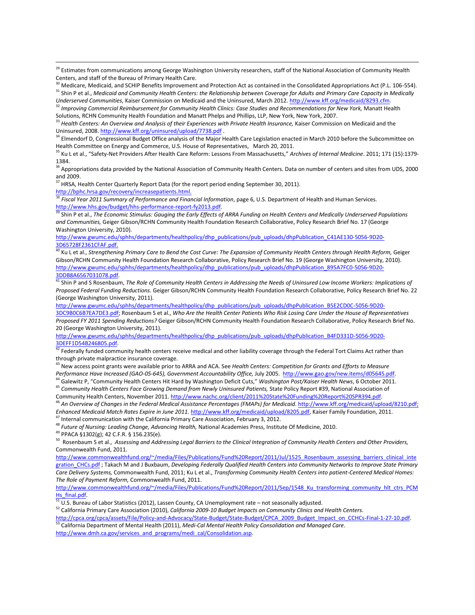$^{29}$  Estimates from communications among George Washington University researchers, staff of the National Association of Community Health Centers, and staff of the Bureau of Primary Health Care.

Medicare, Medicaid, and SCHIP Benefits Improvement and Protection Act as contained in the Consolidated Appropriations Act (P.L. 106-554). <sup>31</sup> Shin P et al., *Medicaid and Community Health Centers: the Relationship between Coverage for Adults and Primary Care Capacity in Medically* 

<sup>35</sup> Ku L et al., "Safety-Net Providers After Health Care Reform: Lessons From Massachusetts," *Archives of Internal Medicine*. 2011; 171 (15):1379- 1384.

<sup>36</sup> Appropriations data provided by the National Association of Community Health Centers. Data on number of centers and sites from UDS, 2000 and 2009.

 $37$  HRSA, Health Center Quarterly Report Data (for the report period ending September 30, 2011). http://bphc.hrsa.gov/recovery/increasepatients.html.

<sup>38</sup> Fiscal Year 2011 Summary of Performance and Financial Information, page 6, U.S. Department of Health and Human Services.

http://www.hhs.gov/budget/hhs-performance-report-fy2013.pdf.<br><sup>39</sup> Shin P et al., *The Economic Stimulus: Gauging the Early Effects of ARRA Funding on Health Centers and Medically Underserved Populations and Communities,* Geiger Gibson/RCHN Community Health Foundation Research Collaborative, Policy Research Brief No. 17 (George Washington University, 2010).

http://www.gwumc.edu/sphhs/departments/healthpolicy/dhp\_publications/pub\_uploads/dhpPublication\_C41AE130-5056-9D20-

3D65728F2361CFAF.pdf.<br><sup>40</sup> Ku L et al., Strengthening Primary Care to Bend the Cost Curve: The Expansion of Community Health Centers through Health Reform, Geiger Gibson/RCHN Community Health Foundation Research Collaborative, Policy Research Brief No. 19 (George Washington University, 2010). http://www.gwumc.edu/sphhs/departments/healthpolicy/dhp\_publications/pub\_uploads/dhpPublication\_895A7FC0-5056-9D20-

3DDB8A6567031078.pdf.<br><sup>41</sup> Shin P and S Rosenbaum, *The Role of Community Health Centers in Addressing the Needs of Uninsured Low Income Workers: Implications of Proposed Federal Funding Reductions.* Geiger Gibson/RCHN Community Health Foundation Research Collaborative, Policy Research Brief No. 22 (George Washington University, 2011).

http://www.gwumc.edu/sphhs/departments/healthpolicy/dhp\_publications/pub\_uploads/dhpPublication\_B5E2CD0C-5056-9D20- 3DC9B0C6B7EA7DE3.pdf; Rosenbaum S et al., *Who Are the Health Center Patients Who Risk Losing Care Under the House of Representatives Proposed FY 2011 Spending Reductions?* Geiger Gibson/RCHN Community Health Foundation Research Collaborative, Policy Research Brief No. 20 (George Washington University, 2011).

http://www.gwumc.edu/sphhs/departments/healthpolicy/dhp\_publications/pub\_uploads/dhpPublication\_B4FD331D-5056-9D20-<br>3DEFF1D54B246805.ndf.

<sup>42</sup> Federally funded community health centers receive medical and other liability coverage through the Federal Tort Claims Act rather than through private malpractice insurance coverage.

<sup>43</sup> New access point grants were available prior to ARRA and ACA. See *Health Centers: Competition for Grants and Efforts to Measure*<br>Performance Have Increased (GAO-05-645), Government Accountability Office, July 2005. h

<sup>44</sup> Galewitz P, "Community Health Centers Hit Hard by Washington Deficit Cuts," Washington Post/Kaiser Health News, 6 October 2011.<br><sup>45</sup> Community Health Centers Face Growing Demand from Newly Uninsured Patients, State Po

<sup>46</sup> An Overview of Changes in the Federal Medical Assistance Percentages (FMAPs) for Medicaid. http://www.kff.org/medicaid/upload/8210.pdf; *Enhanced Medicaid Match Rates Expire in June 2011.* http://www.kff.org/medicaid/upload/8205.pdf, Kaiser Family Foundation, 2011. <sup>47</sup> Internal communication with the California Primary Care Association, February 3, 2012.

<sup>48</sup> Future of Nursing: Leading Change, Advancing Health, National Academies Press, Institute Of Medicine, 2010.<br><sup>49</sup> PPACA §1302(g); 42 C.F.R. § 156.235(e).

 $\overline{a}$ 

50 Rosenbaum S et al., *Assessing and Addressing Legal Barriers to the Clinical Integration of Community Health Centers and Other Providers,* Commonwealth Fund, 2011.

http://www.commonwealthfund.org/~/media/Files/Publications/Fund%20Report/2011/Jul/1525\_Rosenbaum\_assessing\_barriers\_clinical\_inte gration\_CHCs.pdf ; Takach M and J Buxbaum, *Developing Federally Qualified Health Centers into Community Networks to Improve State Primary Care Delivery Systems,* Commonwealth Fund, 2011; Ku L et al., *Transforming Community Health Centers into patient-Centered Medical Homes: The Role of Payment Reform,* Commonwealth Fund, 2011.

http://www.commonwealthfund.org/~/media/Files/Publications/Fund%20Report/2011/Sep/1548\_Ku\_transforming\_community\_hlt\_ctrs\_PCM Hs\_final.pdf.<br><sup>51</sup> U.S. Bureau of Labor Statistics (2012), Lassen County, CA Unemployment rate – not seasonally adjusted.<br><sup>52</sup> California Primary Care Association (2010), *California 2009-10 Budget Impacts on Community Cli* 

http://cpca.org/cpca/assets/File/Policy-and-Advocacy/State-Budget/State-Budget/CPCA 2009 Budget Impact on CCHCs-Final-1-27-10.pdf.<br><sup>53</sup> California Department of Mental Health (2011), Medi-Cal Mental Health Policy Consolida http://www.dmh.ca.gov/services\_and\_programs/medi\_cal/Consolidation.asp.

Underserved Communities, Kaiser Commission on Medicaid and the Uninsured, March 2012. http://www.kff.org/medicaid/8293.cfm.<br><sup>32</sup> Improving Commercial Reimbursement for Community Health Clinics: Case Studies and Recommendat Solutions, RCHN Community Health Foundation and Manatt Phelps and Phillips, LLP, New York, New York, 2007.

<sup>33</sup> *Health Centers: An Overview and Analysis of their Experiences with Private Health Insurance,* Kaiser Commission on Medicaid and the Uninsured, 2008. http://www.kff.org/uninsured/upload/7738.pdf .<br><sup>34</sup> Elmendorf D, Congressional Budget Office analysis of the Major Health Care Legislation enacted in March 2010 before the Subcommittee on

Health Committee on Energy and Commerce, U.S. House of Representatives, March 20, 2011.